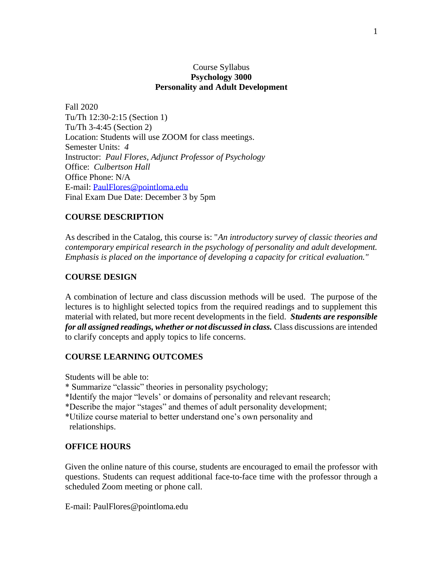# Course Syllabus **Psychology 3000 Personality and Adult Development**

Fall 2020 Tu/Th 12:30-2:15 (Section 1) Tu/Th 3-4:45 (Section 2) Location: Students will use ZOOM for class meetings. Semester Units: *4* Instructor: *Paul Flores, Adjunct Professor of Psychology* Office: *Culbertson Hall* Office Phone: N/A E-mail: [PaulFlores@pointloma.edu](mailto:PaulFlores@pointloma.edu) Final Exam Due Date: December 3 by 5pm

# **COURSE DESCRIPTION**

As described in the Catalog, this course is: "*An introductory survey of classic theories and contemporary empirical research in the psychology of personality and adult development. Emphasis is placed on the importance of developing a capacity for critical evaluation."*

# **COURSE DESIGN**

A combination of lecture and class discussion methods will be used. The purpose of the lectures is to highlight selected topics from the required readings and to supplement this material with related, but more recent developments in the field. *Students are responsible for all assigned readings, whether or not discussed in class.* Class discussions are intended to clarify concepts and apply topics to life concerns.

# **COURSE LEARNING OUTCOMES**

Students will be able to:

\* Summarize "classic" theories in personality psychology;

\*Identify the major "levels' or domains of personality and relevant research;

\*Describe the major "stages" and themes of adult personality development;

\*Utilize course material to better understand one's own personality and relationships.

# **OFFICE HOURS**

Given the online nature of this course, students are encouraged to email the professor with questions. Students can request additional face-to-face time with the professor through a scheduled Zoom meeting or phone call.

E-mail: PaulFlores@pointloma.edu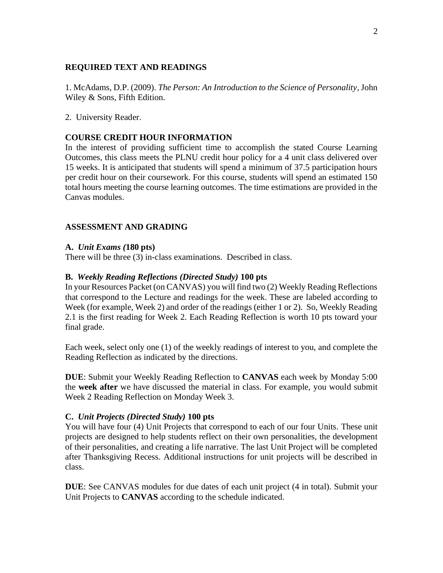# **REQUIRED TEXT AND READINGS**

1. McAdams, D.P. (2009). *The Person: An Introduction to the Science of Personality*, John Wiley & Sons, Fifth Edition.

2. University Reader.

# **COURSE CREDIT HOUR INFORMATION**

In the interest of providing sufficient time to accomplish the stated Course Learning Outcomes, this class meets the PLNU credit hour policy for a 4 unit class delivered over 15 weeks. It is anticipated that students will spend a minimum of 37.5 participation hours per credit hour on their coursework. For this course, students will spend an estimated 150 total hours meeting the course learning outcomes. The time estimations are provided in the Canvas modules.

# **ASSESSMENT AND GRADING**

# **A.** *Unit Exams (***180 pts)**

There will be three (3) in-class examinations. Described in class.

# **B.** *Weekly Reading Reflections (Directed Study)* **100 pts**

In your Resources Packet (on CANVAS) you will find two (2) Weekly Reading Reflections that correspond to the Lecture and readings for the week. These are labeled according to Week (for example, Week 2) and order of the readings (either 1 or 2). So, Weekly Reading 2.1 is the first reading for Week 2. Each Reading Reflection is worth 10 pts toward your final grade.

Each week, select only one (1) of the weekly readings of interest to you, and complete the Reading Reflection as indicated by the directions.

**DUE**: Submit your Weekly Reading Reflection to **CANVAS** each week by Monday 5:00 the **week after** we have discussed the material in class. For example, you would submit Week 2 Reading Reflection on Monday Week 3.

# **C.** *Unit Projects (Directed Study)* **100 pts**

You will have four (4) Unit Projects that correspond to each of our four Units. These unit projects are designed to help students reflect on their own personalities, the development of their personalities, and creating a life narrative. The last Unit Project will be completed after Thanksgiving Recess. Additional instructions for unit projects will be described in class.

**DUE**: See CANVAS modules for due dates of each unit project (4 in total). Submit your Unit Projects to **CANVAS** according to the schedule indicated.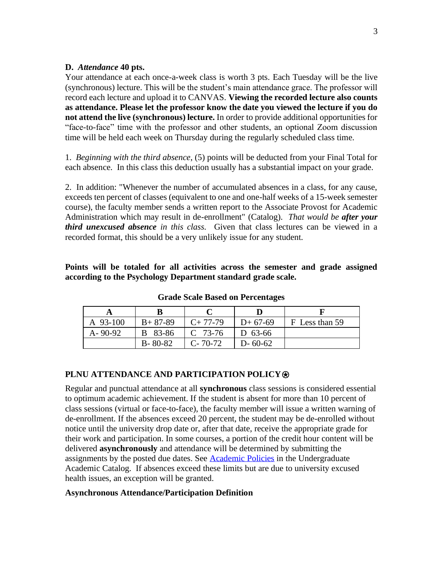# **D.** *Attendance* **40 pts.**

Your attendance at each once-a-week class is worth 3 pts. Each Tuesday will be the live (synchronous) lecture. This will be the student's main attendance grace. The professor will record each lecture and upload it to CANVAS. **Viewing the recorded lecture also counts as attendance. Please let the professor know the date you viewed the lecture if you do not attend the live (synchronous) lecture.** In order to provide additional opportunities for "face-to-face" time with the professor and other students, an optional Zoom discussion time will be held each week on Thursday during the regularly scheduled class time.

1.*Beginning with the third absence*, (5) points will be deducted from your Final Total for each absence. In this class this deduction usually has a substantial impact on your grade.

2. In addition: "Whenever the number of accumulated absences in a class, for any cause, exceeds ten percent of classes (equivalent to one and one-half weeks of a 15-week semester course), the faculty member sends a written report to the Associate Provost for Academic Administration which may result in de-enrollment" (Catalog). *That would be after your third unexcused absence in this class.* Given that class lectures can be viewed in a recorded format, this should be a very unlikely issue for any student.

**Points will be totaled for all activities across the semester and grade assigned according to the Psychology Department standard grade scale.**

| A 93-100      | $B+87-89$     | $C+77-79$     | $D+67-69$     | F Less than 59 |
|---------------|---------------|---------------|---------------|----------------|
| $A - 90 - 92$ | B 83-86       | $C$ 73-76     | D 63-66       |                |
|               | $B - 80 - 82$ | $C - 70 - 72$ | $D - 60 - 62$ |                |

**Grade Scale Based on Percentages**

# **PLNU ATTENDANCE AND PARTICIPATION POLICY**⍟

Regular and punctual attendance at all **synchronous** class sessions is considered essential to optimum academic achievement. If the student is absent for more than 10 percent of class sessions (virtual or face-to-face), the faculty member will issue a written warning of de-enrollment. If the absences exceed 20 percent, the student may be de-enrolled without notice until the university drop date or, after that date, receive the appropriate grade for their work and participation. In some courses, a portion of the credit hour content will be delivered **asynchronously** and attendance will be determined by submitting the assignments by the posted due dates. See [Academic Policies](https://catalog.pointloma.edu/content.php?catoid=46&navoid=2650#Class_Attendance) in the Undergraduate Academic Catalog. If absences exceed these limits but are due to university excused health issues, an exception will be granted.

# **Asynchronous Attendance/Participation Definition**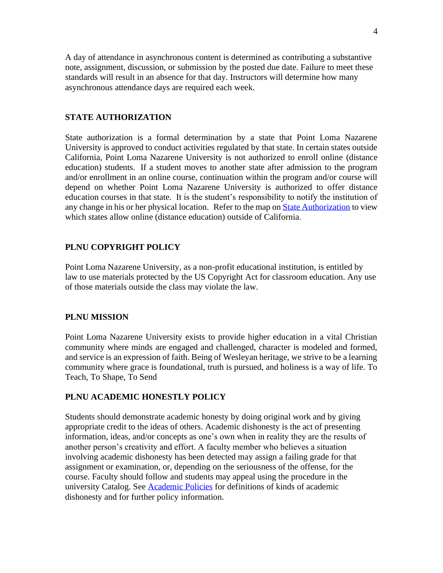A day of attendance in asynchronous content is determined as contributing a substantive note, assignment, discussion, or submission by the posted due date. Failure to meet these standards will result in an absence for that day. Instructors will determine how many asynchronous attendance days are required each week.

# **STATE AUTHORIZATION**

State authorization is a formal determination by a state that Point Loma Nazarene University is approved to conduct activities regulated by that state. In certain states outside California, Point Loma Nazarene University is not authorized to enroll online (distance education) students. If a student moves to another state after admission to the program and/or enrollment in an online course, continuation within the program and/or course will depend on whether Point Loma Nazarene University is authorized to offer distance education courses in that state. It is the student's responsibility to notify the institution of any change in his or her physical location. Refer to the map on [State Authorization](https://www.pointloma.edu/offices/office-institutional-effectiveness-research/disclosures) to view which states allow online (distance education) outside of California.

# **PLNU COPYRIGHT POLICY**

Point Loma Nazarene University, as a non-profit educational institution, is entitled by law to use materials protected by the US Copyright Act for classroom education. Any use of those materials outside the class may violate the law.

#### **PLNU MISSION**

Point Loma Nazarene University exists to provide higher education in a vital Christian community where minds are engaged and challenged, character is modeled and formed, and service is an expression of faith. Being of Wesleyan heritage, we strive to be a learning community where grace is foundational, truth is pursued, and holiness is a way of life. To Teach, To Shape, To Send

### **PLNU ACADEMIC HONESTLY POLICY**

Students should demonstrate academic honesty by doing original work and by giving appropriate credit to the ideas of others. Academic dishonesty is the act of presenting information, ideas, and/or concepts as one's own when in reality they are the results of another person's creativity and effort. A faculty member who believes a situation involving academic dishonesty has been detected may assign a failing grade for that assignment or examination, or, depending on the seriousness of the offense, for the course. Faculty should follow and students may appeal using the procedure in the university Catalog. See [Academic Policies](https://catalog.pointloma.edu/content.php?catoid=41&navoid=2435#Academic_Honesty) for definitions of kinds of academic dishonesty and for further policy information.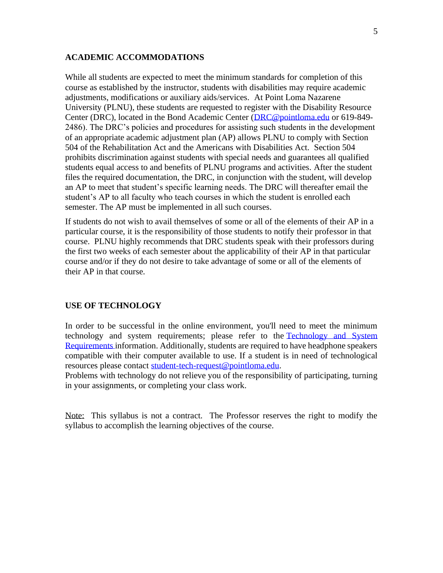# **ACADEMIC ACCOMMODATIONS**

While all students are expected to meet the minimum standards for completion of this course as established by the instructor, students with disabilities may require academic adjustments, modifications or auxiliary aids/services. At Point Loma Nazarene University (PLNU), these students are requested to register with the Disability Resource Center (DRC), located in the Bond Academic Center [\(DRC@pointloma.edu](mailto:DRC@pointloma.edu) or 619-849- 2486). The DRC's policies and procedures for assisting such students in the development of an appropriate academic adjustment plan (AP) allows PLNU to comply with Section 504 of the Rehabilitation Act and the Americans with Disabilities Act. Section 504 prohibits discrimination against students with special needs and guarantees all qualified students equal access to and benefits of PLNU programs and activities. After the student files the required documentation, the DRC, in conjunction with the student, will develop an AP to meet that student's specific learning needs. The DRC will thereafter email the student's AP to all faculty who teach courses in which the student is enrolled each semester. The AP must be implemented in all such courses.

If students do not wish to avail themselves of some or all of the elements of their AP in a particular course, it is the responsibility of those students to notify their professor in that course. PLNU highly recommends that DRC students speak with their professors during the first two weeks of each semester about the applicability of their AP in that particular course and/or if they do not desire to take advantage of some or all of the elements of their AP in that course.

# **USE OF TECHNOLOGY**

In order to be successful in the online environment, you'll need to meet the minimum technology and system requirements; please refer to the Technology and System [Requirements i](https://help.pointloma.edu/TDClient/1808/Portal/KB/ArticleDet?ID=108349)nformation. Additionally, students are required to have headphone speakers compatible with their computer available to use. If a student is in need of technological resources please contact [student-tech-request@pointloma.edu.](mailto:student-tech-request@pointloma.edu)

Problems with technology do not relieve you of the responsibility of participating, turning in your assignments, or completing your class work.

Note: This syllabus is not a contract. The Professor reserves the right to modify the syllabus to accomplish the learning objectives of the course.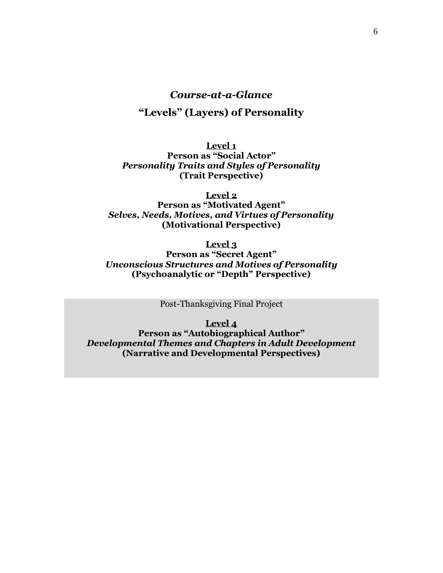# *Course-at-a-Glance*

# **"Levels" (Layers) of Personality**

**Level 1 Person as "Social Actor"** *Personality Traits and Styles of Personality* **(Trait Perspective)**

**Level 2 Person as "Motivated Agent"** *Selves, Needs, Motives, and Virtues of Personality* **(Motivational Perspective)**

> **Level 3 Person as "Secret Agent"**

*Unconscious Structures and Motives of Personality* **(Psychoanalytic or "Depth" Perspective)**

Post-Thanksgiving Final Project

**Level 4 Person as "Autobiographical Author"** *Developmental Themes and Chapters in Adult Development* **(Narrative and Developmental Perspectives)**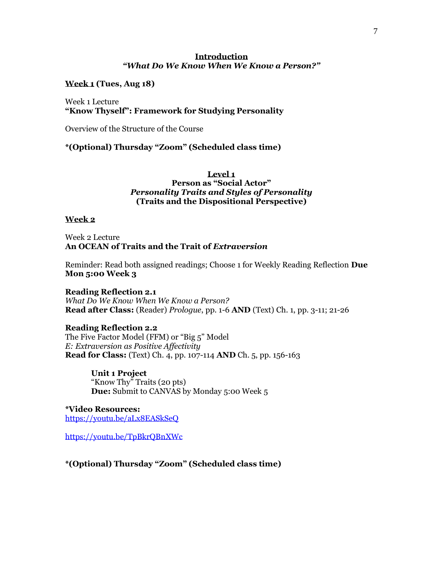# **Introduction** *"What Do We Know When We Know a Person?"*

**Week 1 (Tues, Aug 18)**

Week 1 Lecture **"Know Thyself": Framework for Studying Personality**

Overview of the Structure of the Course

**\*(Optional) Thursday "Zoom" (Scheduled class time)**

## **Level 1 Person as "Social Actor"** *Personality Traits and Styles of Personality* **(Traits and the Dispositional Perspective)**

### **Week 2**

Week 2 Lecture **An OCEAN of Traits and the Trait of** *Extraversion*

Reminder: Read both assigned readings; Choose 1 for Weekly Reading Reflection **Due Mon 5:00 Week 3**

### **Reading Reflection 2.1**

*What Do We Know When We Know a Person?*  **Read after Class:** (Reader) *Prologue*, pp. 1-6 **AND** (Text) Ch. 1, pp. 3-11; 21-26

# **Reading Reflection 2.2**

The Five Factor Model (FFM) or "Big 5" Model *E: Extraversion as Positive Affectivity* **Read for Class:** (Text) Ch. 4, pp. 107-114 **AND** Ch. 5, pp. 156-163

> **Unit 1 Project**  "Know Thy" Traits (20 pts) **Due:** Submit to CANVAS by Monday 5:00 Week 5

**\*Video Resources:** <https://youtu.be/aLx8EASkSeQ>

<https://youtu.be/TpBkrQBnXWc>

**\*(Optional) Thursday "Zoom" (Scheduled class time)**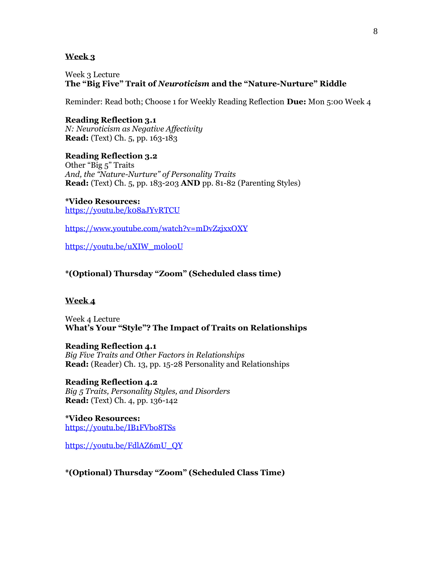## **Week 3**

Week 3 Lecture **The "Big Five" Trait of** *Neuroticism* **and the "Nature-Nurture" Riddle**

Reminder: Read both; Choose 1 for Weekly Reading Reflection **Due:** Mon 5:00 Week 4

**Reading Reflection 3.1** *N: Neuroticism as Negative Affectivity* **Read:** (Text) Ch. 5, pp. 163-183

**Reading Reflection 3.2**

Other "Big 5" Traits *And, the "Nature-Nurture" of Personality Traits* **Read:** (Text) Ch. 5, pp. 183-203 **AND** pp. 81-82 (Parenting Styles)

**\*Video Resources:** <https://youtu.be/k08aJYvRTCU>

<https://www.youtube.com/watch?v=mDvZzjxxOXY>

[https://youtu.be/uXIW\\_m0lo0U](https://youtu.be/uXIW_m0lo0U)

**\*(Optional) Thursday "Zoom" (Scheduled class time)**

#### **Week 4**

Week 4 Lecture **What's Your "Style"? The Impact of Traits on Relationships**

#### **Reading Reflection 4.1**

*Big Five Traits and Other Factors in Relationships* **Read:** (Reader) Ch. 13, pp. 15-28 Personality and Relationships

**Reading Reflection 4.2** *Big 5 Traits, Personality Styles, and Disorders* **Read:** (Text) Ch. 4, pp. 136-142

**\*Video Resources:** <https://youtu.be/IB1FVbo8TSs>

[https://youtu.be/FdlAZ6mU\\_QY](https://youtu.be/FdlAZ6mU_QY)

**\*(Optional) Thursday "Zoom" (Scheduled Class Time)**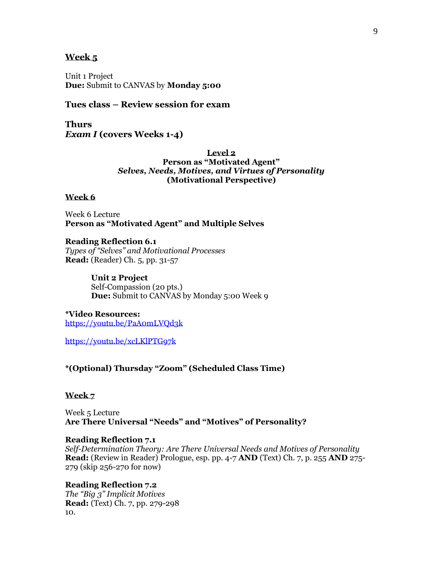#### **Week 5**

Unit 1 Project **Due:** Submit to CANVAS by **Monday 5:00**

# **Tues class – Review session for exam**

**Thurs** *Exam I* **(covers Weeks 1-4)**

> **Level 2 Person as "Motivated Agent"** *Selves, Needs, Motives, and Virtues of Personality* **(Motivational Perspective)**

#### **Week 6**

Week 6 Lecture **Person as "Motivated Agent" and Multiple Selves**

**Reading Reflection 6.1** *Types of "Selves" and Motivational Processes* **Read:** (Reader) Ch. 5, pp. 31-57

> **Unit 2 Project**  Self-Compassion (20 pts.) **Due:** Submit to CANVAS by Monday 5:00 Week 9

**\*Video Resources:** <https://youtu.be/PaA0mLVQd3k>

<https://youtu.be/xcLKlPTG97k>

**\*(Optional) Thursday "Zoom" (Scheduled Class Time)**

#### **Week 7**

Week 5 Lecture **Are There Universal "Needs" and "Motives" of Personality?**

#### **Reading Reflection 7.1**

*Self-Determination Theory: Are There Universal Needs and Motives of Personality* **Read:** (Review in Reader) Prologue, esp. pp. 4-7 **AND** (Text) Ch. 7, p. 255 **AND** 275- 279 (skip 256-270 for now)

**Reading Reflection 7.2** *The "Big 3" Implicit Motives*  **Read:** (Text) Ch. 7, pp. 279-298 10.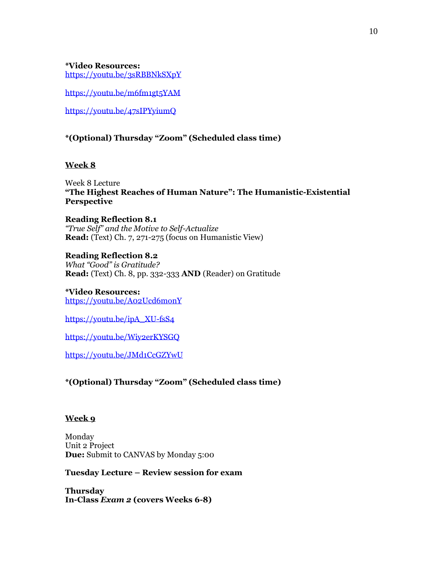**\*Video Resources:** <https://youtu.be/3sRBBNkSXpY>

<https://youtu.be/m6fm1gt5YAM>

<https://youtu.be/47sIPYyiumQ>

# **\*(Optional) Thursday "Zoom" (Scheduled class time)**

# **Week 8**

Week 8 Lecture **"The Highest Reaches of Human Nature": The Humanistic-Existential Perspective**

**Reading Reflection 8.1** *"True Self" and the Motive to Self-Actualize*  **Read:** (Text) Ch. 7, 271-275 (focus on Humanistic View)

**Reading Reflection 8.2** *What "Good" is Gratitude?* **Read:** (Text) Ch. 8, pp. 332-333 **AND** (Reader) on Gratitude

**\*Video Resources:** <https://youtu.be/A02Ucd6monY>

[https://youtu.be/ipA\\_XU-fsS4](https://youtu.be/ipA_XU-fsS4)

<https://youtu.be/Wiy2erKYSGQ>

<https://youtu.be/JMd1CcGZYwU>

# **\*(Optional) Thursday "Zoom" (Scheduled class time)**

# **Week 9**

Monday Unit 2 Project **Due:** Submit to CANVAS by Monday 5:00

**Tuesday Lecture – Review session for exam**

**Thursday In-Class** *Exam 2* **(covers Weeks 6-8)**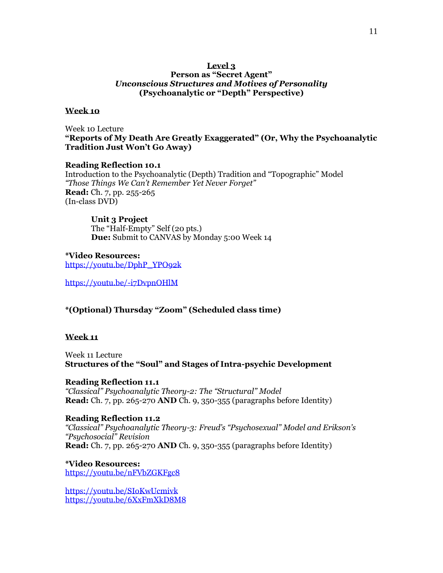## **Level 3 Person as "Secret Agent"**  *Unconscious Structures and Motives of Personality* **(Psychoanalytic or "Depth" Perspective)**

#### **Week 10**

Week 10 Lecture **"Reports of My Death Are Greatly Exaggerated" (Or, Why the Psychoanalytic Tradition Just Won't Go Away)**

# **Reading Reflection 10.1**

Introduction to the Psychoanalytic (Depth) Tradition and "Topographic" Model *"Those Things We Can't Remember Yet Never Forget"* **Read:** Ch. 7, pp. 255-265 (In-class DVD)

### **Unit 3 Project**

The "Half-Empty" Self (20 pts.) **Due:** Submit to CANVAS by Monday 5:00 Week 14

**\*Video Resources:** [https://youtu.be/DphP\\_YPO92k](https://youtu.be/DphP_YPO92k)

<https://youtu.be/-i7DvpnOHlM>

# **\*(Optional) Thursday "Zoom" (Scheduled class time)**

### **Week 11**

Week 11 Lecture **Structures of the "Soul" and Stages of Intra-psychic Development**

**Reading Reflection 11.1** *"Classical" Psychoanalytic Theory-2: The "Structural" Model* **Read:** Ch. 7, pp. 265-270 **AND** Ch. 9, 350-355 (paragraphs before Identity)

#### **Reading Reflection 11.2**

*"Classical" Psychoanalytic Theory-3: Freud's "Psychosexual" Model and Erikson's "Psychosocial" Revision* **Read:** Ch. 7, pp. 265-270 **AND** Ch. 9, 350-355 (paragraphs before Identity)

**\*Video Resources:** <https://youtu.be/nFVbZGKFgc8>

<https://youtu.be/SIoKwUcmivk> <https://youtu.be/6XxFmXkD8M8>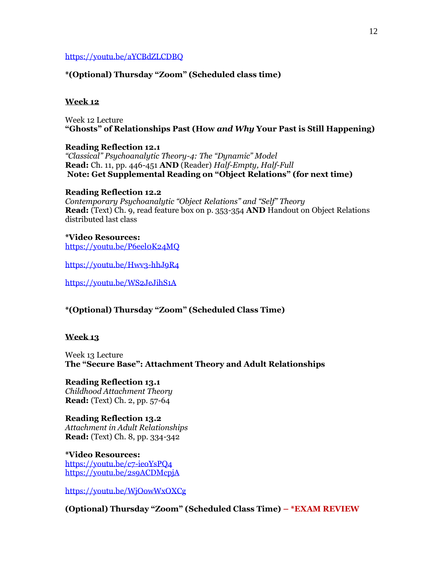### <https://youtu.be/aYCBdZLCDBQ>

## **\*(Optional) Thursday "Zoom" (Scheduled class time)**

#### **Week 12**

Week 12 Lecture **"Ghosts" of Relationships Past (How** *and Why* **Your Past is Still Happening)**

**Reading Reflection 12.1** *"Classical" Psychoanalytic Theory-4: The "Dynamic" Model* **Read:** Ch. 11, pp. 446-451 **AND** (Reader) *Half-Empty, Half-Full* **Note: Get Supplemental Reading on "Object Relations" (for next time)**

#### **Reading Reflection 12.2**

*Contemporary Psychoanalytic "Object Relations" and "Self" Theory* **Read:** (Text) Ch. 9, read feature box on p. 353-354 **AND** Handout on Object Relations distributed last class

**\*Video Resources:** <https://youtu.be/P6eel0K24MQ>

<https://youtu.be/Hwv3-hhJ9R4>

<https://youtu.be/WS2JeJihS1A>

**\*(Optional) Thursday "Zoom" (Scheduled Class Time)**

#### **Week 13**

Week 13 Lecture **The "Secure Base": Attachment Theory and Adult Relationships**

**Reading Reflection 13.1** *Childhood Attachment Theory* **Read:** (Text) Ch. 2, pp. 57-64

**Reading Reflection 13.2** *Attachment in Adult Relationships* **Read:** (Text) Ch. 8, pp. 334-342

**\*Video Resources:** <https://youtu.be/c7-ieoYsPQ4> <https://youtu.be/2s9ACDMcpjA>

<https://youtu.be/WjOowWxOXCg>

**(Optional) Thursday "Zoom" (Scheduled Class Time) – \*EXAM REVIEW**